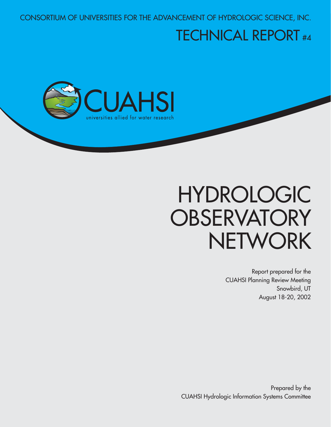CONSORTIUM OF UNIVERSITIES FOR THE ADVANCEMENT OF HYDROLOGIC SCIENCE, INC.

# TECHNICAL REPORT #4



# HYDROLOGIC **OBSERVATORY NETWORK**

 Report prepared for the CUAHSI Planning Review Meeting Snowbird, UT August 18-20, 2002

Prepared by the CUAHSI Hydrologic Information Systems Committee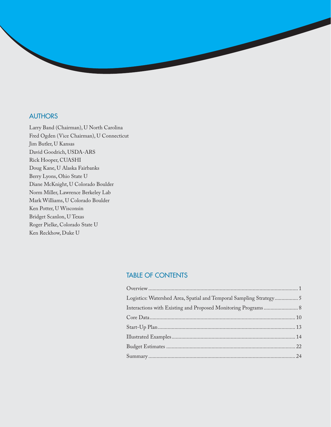#### **AUTHORS**

Larry Band (Chairman), U North Carolina Fred Ogden (Vice Chairman), U Connecticut Jim Butler, U Kansas David Goodrich, USDA-ARS Rick Hooper, CUASHI Doug Kane, U Alaska Fairbanks Berry Lyons, Ohio State U Diane McKnight, U Colorado Boulder Norm Miller, Lawrence Berkeley Lab Mark Williams, U Colorado Boulder Ken Potter, U Wisconsin Bridget Scanlon, U Texas Roger Pielke, Colorado State U Ken Reckhow, Duke U

### TABLE OF CONTENTS

| Logistics: Watershed Area, Spatial and Temporal Sampling Strategy 5 |  |
|---------------------------------------------------------------------|--|
| Interactions with Existing and Proposed Monitoring Programs 8       |  |
|                                                                     |  |
|                                                                     |  |
|                                                                     |  |
|                                                                     |  |
|                                                                     |  |
|                                                                     |  |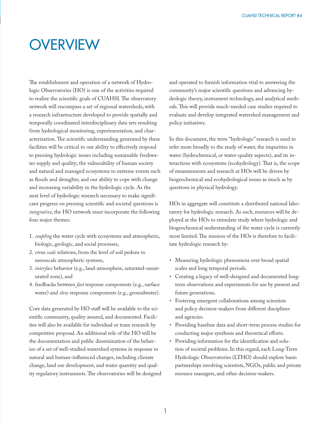### **OVERVIEW**

The establishment and operation of a network of Hydrologic Observatories (HO) is one of the activities required to realize the scientific goals of CUAHSI. The observatory network will encompass a set of regional watersheds, with a research infrastructure developed to provide spatially and temporally coordinated interdisciplinary data sets resulting from hydrological monitoring, experimentation, and characterization. The scientific understanding generated by these facilities will be critical to our ability to effectively respond to pressing hydrologic issues including sustainable freshwater supply and quality; the vulnerability of human society and natural and managed ecosystems to extreme events such as floods and droughts; and our ability to cope with change and increasing variability in the hydrologic cycle. As the next level of hydrologic research necessary to make significant progress on pressing scientific and societal questions is *integrative*, the HO network must incorporate the following four major themes:

- 1. *coupling* the water cycle with ecosystems and atmospheric, biologic, geologic, and social processes,
- 2. cross *scale* relations, from the level of soil pedons to mesoscale atmospheric systems,
- 3. *interface* behavior (e.g., land-atmosphere, saturated-unsaturated zone), and
- 4. feedbacks between *fast* response components (e.g., surface water) and *slow* response components (e.g., groundwater).

Core data generated by HO staff will be available to the scientific community, quality assured, and documented. Facilities will also be available for individual or team research by competitive proposal. An additional role of the HO will be the documentation and public dissemination of the behavior of a set of well-studied watershed systems in response to natural and human-influenced changes, including climate change, land use development, and water quantity and quality regulatory instruments. The observatories will be designed and operated to furnish information vital to answering the community's major scientific questions and advancing hydrologic theory, instrument technology, and analytical methods. This will provide much-needed case studies required to evaluate and develop integrated watershed management and policy initiatives.

In this document, the term "hydrologic" research is used to refer more broadly to the study of water, the impurities in water (hydrochemical, or water-quality aspects), and its interactions with ecosystems (ecohydrology). That is, the scope of measurements and research at HOs will be driven by biogeochemical and ecohydrological issues as much as by questions in physical hydrology.

HOs in aggregate will constitute a distributed national laboratory for hydrologic research. As such, resources will be deployed at the HOs to stimulate study where hydrologic and biogeochemical understanding of the water cycle is currently most limited. The mission of the HOs is therefore to facilitate hydrologic research by:

- Measuring hydrologic phenomena over broad spatial scales and long temporal periods.
- Creating a legacy of well-designed and documented longterm observations and experiments for use by present and future generations.
- Fostering emergent collaborations among scientists and policy decision-makers from different disciplines and agencies.
- Providing baseline data and short-term process studies for conducting major synthesis and theoretical efforts.
- Providing information for the identification and solution of societal problems. In this regard, each Long-Term Hydrologic Observatories (LTHO) should explore basin partnerships involving scientists, NGOs, public and private resource managers, and other decision-makers.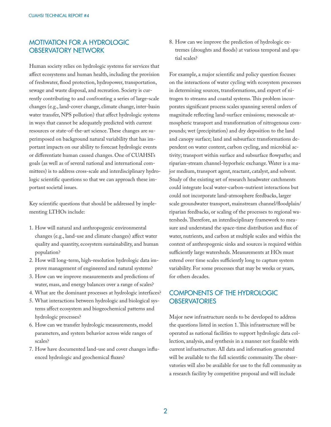### MOTIVATION FOR A HYDROLOGIC OBSERVATORY NETWORK

Human society relies on hydrologic systems for services that affect ecosystems and human health, including the provision of freshwater, flood protection, hydropower, transportation, sewage and waste disposal, and recreation. Society is currently contributing to and confronting a series of large-scale changes (e.g., land-cover change, climate change, inter-basin water transfer, NPS pollution) that affect hydrologic systems in ways that cannot be adequately predicted with current resources or state-of-the-art science. These changes are superimposed on background natural variability that has important impacts on our ability to forecast hydrologic events or differentiate human caused changes. One of CUAHSI's goals (as well as of several national and international committees) is to address cross-scale and interdisciplinary hydrologic scientific questions so that we can approach these important societal issues.

Key scientific questions that should be addressed by implementing LTHOs include:

- 1. How will natural and anthropogenic environmental changes (e.g., land-use and climate changes) affect water quality and quantity, ecosystem sustainability, and human population?
- 2. How will long-term, high-resolution hydrologic data improve management of engineered and natural systems?
- 3. How can we improve measurements and predictions of water, mass, and energy balances over a range of scales?
- 4. What are the dominant processes at hydrologic interfaces?
- 5. What interactions between hydrologic and biological systems affect ecosystem and biogeochemical patterns and hydrologic processes?
- 6. How can we transfer hydrologic measurements, model parameters, and system behavior across wide ranges of scales?
- 7. How have documented land-use and cover changes influenced hydrologic and geochemical fluxes?

8. How can we improve the prediction of hydrologic extremes (droughts and floods) at various temporal and spatial scales?

For example, a major scientific and policy question focuses on the interactions of water cycling with ecosystem processes in determining sources, transformations, and export of nitrogen to streams and coastal systems. This problem incorporates significant process scales spanning several orders of magnitude reflecting land-surface emissions; mesoscale atmospheric transport and transformation of nitrogenous compounds; wet (precipitation) and dry deposition to the land and canopy surface; land and subsurface transformations dependent on water content, carbon cycling, and microbial activity; transport within surface and subsurface flowpaths; and riparian-stream channel-hyporheic exchange. Water is a major medium, transport agent, reactant, catalyst, and solvent. Study of the existing set of research headwater catchments could integrate local water-carbon-nutrient interactions but could not incorporate land-atmosphere feedbacks, larger scale groundwater transport, mainstream channel/floodplain/ riparian feedbacks, or scaling of the processes to regional watersheds. Therefore, an interdisciplinary framework to measure and understand the space-time distribution and flux of water, nutrients, and carbon at multiple scales and within the context of anthropogenic sinks and sources is required within sufficiently large watersheds. Measurements at HOs must extend over time scales sufficiently long to capture system variability. For some processes that may be weeks or years, for others decades.

### COMPONENTS OF THE HYDROLOGIC **OBSERVATORIES**

Major new infrastructure needs to be developed to address the questions listed in section 1. This infrastructure will be operated as national facilities to support hydrologic data collection, analysis, and synthesis in a manner not feasible with current infrastructure. All data and information generated will be available to the full scientific community. The observatories will also be available for use to the full community as a research facility by competitive proposal and will include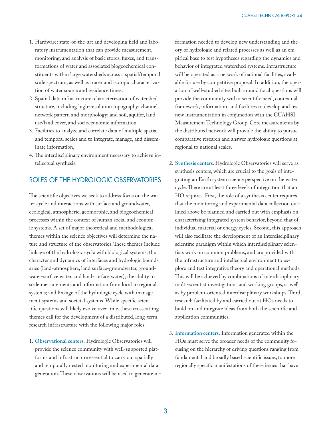- 1. Hardware: state-of-the-art and developing field and laboratory instrumentation that can provide measurement, monitoring, and analysis of basic stores, fluxes, and transformations of water and associated biogeochemical constituents within large watersheds across a spatial/temporal scale spectrum, as well as tracer and isotopic characterization of water source and residence times.
- 2. Spatial data infrastructure: characterization of watershed structure, including high-resolution topography; channel network pattern and morphology; and soil, aquifer, land use/land cover, and socioeconomic information.
- 3. Facilities to analyze and correlate data of multiple spatial and temporal scales and to integrate, manage, and disseminate information,.
- 4. The interdisciplinary environment necessary to achieve intellectual synthesis.

#### ROLES OF THE HYDROLOGIC OBSERVATORIES

The scientific objectives we seek to address focus on the water cycle and interactions with surface and groundwater, ecological, atmospheric, geomorphic, and biogeochemical processes within the context of human social and economic systems. A set of major theoretical and methodological themes within the science objectives will determine the nature and structure of the observatories. These themes include linkage of the hydrologic cycle with biological systems; the character and dynamics of interfaces and hydrologic boundaries (land-atmosphere, land surface-groundwater, groundwater-surface water, and land-surface water); the ability to scale measurements and information from local to regional systems; and linkage of the hydrologic cycle with management systems and societal systems. While specific scientific questions will likely evolve over time, these crosscutting themes call for the development of a distributed, long-term research infrastructure with the following major roles:

1. **Observational centers.** Hydrologic Observatories will provide the science community with well-supported platforms and infrastructure essential to carry out spatially and temporally nested monitoring and experimental data generation. These observations will be used to generate information needed to develop new understanding and theory of hydrologic and related processes as well as an empirical base to test hypotheses regarding the dynamics and behavior of integrated watershed systems. Infrastructure will be operated as a network of national facilities, available for use by competitive proposal. In addition, the operation of well-studied sites built around focal questions will provide the community with a scientific need, contextual framework, information, and facilities to develop and test new instrumentation in conjunction with the CUAHSI Measurement Technology Group. Core measurements by the distributed network will provide the ability to pursue comparative research and answer hydrologic questions at regional to national scales.

- 2. **Synthesis centers.** Hydrologic Observatories will serve as synthesis centers, which are crucial to the goals of integrating an Earth system science perspective on the water cycle. There are at least three levels of integration that an HO requires. First, the role of a synthesis center requires that the monitoring and experimental data collection outlined above be planned and carried out with emphasis on characterizing integrated system behavior, beyond that of individual material or energy cycles. Second, this approach will also facilitate the development of an interdisciplinary scientific paradigm within which interdisciplinary scientists work on common problems, and are provided with the infrastructure and intellectual environment to explore and test integrative theory and operational methods. This will be achieved by combinations of interdisciplinary multi-scientist investigations and working groups, as well as by problem-oriented interdisciplinary workshops. Third, research facilitated by and carried out at HOs needs to build on and integrate ideas from both the scientific and application communities.
- 3. **Information centers.** Information generated within the HOs must serve the broader needs of the community focusing on the hierarchy of driving questions ranging from fundamental and broadly based scientific issues, to more regionally specific manifestations of these issues that have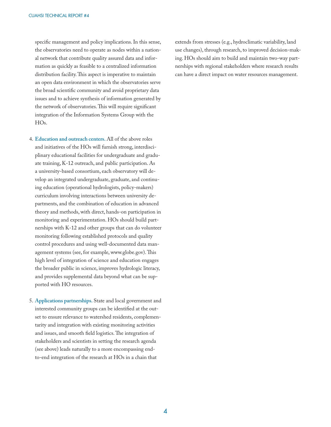specific management and policy implications. In this sense, the observatories need to operate as nodes within a national network that contribute quality assured data and information as quickly as feasible to a centralized information distribution facility. This aspect is imperative to maintain an open data environment in which the observatories serve the broad scientific community and avoid proprietary data issues and to achieve synthesis of information generated by the network of observatories. This will require significant integration of the Information Systems Group with the  $HO<sub>s</sub>$ .

- 4. **Education and outreach centers.** All of the above roles and initiatives of the HOs will furnish strong, interdisciplinary educational facilities for undergraduate and graduate training, K-12 outreach, and public participation. As a university-based consortium, each observatory will develop an integrated undergraduate, graduate, and continuing education (operational hydrologists, policy-makers) curriculum involving interactions between university departments, and the combination of education in advanced theory and methods, with direct, hands-on participation in monitoring and experimentation. HOs should build partnerships with K-12 and other groups that can do volunteer monitoring following established protocols and quality control procedures and using well-documented data management systems (see, for example, www.globe.gov). This high level of integration of science and education engages the broader public in science, improves hydrologic literacy, and provides supplemental data beyond what can be supported with HO resources.
- 5. **Applications partnerships.** State and local government and interested community groups can be identified at the outset to ensure relevance to watershed residents, complementarity and integration with existing monitoring activities and issues, and smooth field logistics. The integration of stakeholders and scientists in setting the research agenda (see above) leads naturally to a more encompassing endto-end integration of the research at HOs in a chain that

extends from stresses (e.g., hydroclimatic variability, land use changes), through research, to improved decision-making. HOs should aim to build and maintain two-way partnerships with regional stakeholders where research results can have a direct impact on water resources management.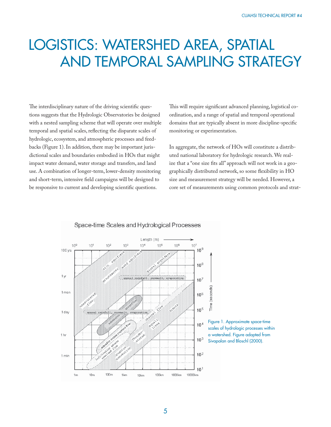### LOGISTICS: WATERSHED AREA, SPATIAL AND TEMPORAL SAMPLING STRATEGY

The interdisciplinary nature of the driving scientific questions suggests that the Hydrologic Observatories be designed with a nested sampling scheme that will operate over multiple temporal and spatial scales, reflecting the disparate scales of hydrologic, ecosystem, and atmospheric processes and feedbacks (Figure 1). In addition, there may be important jurisdictional scales and boundaries embodied in HOs that might impact water demand, water storage and transfers, and land use. A combination of longer-term, lower-density monitoring and short-term, intensive field campaigns will be designed to be responsive to current and developing scientific questions.

This will require significant advanced planning, logistical coordination, and a range of spatial and temporal operational domains that are typically absent in more discipline-specific monitoring or experimentation.

In aggregate, the network of HOs will constitute a distributed national laboratory for hydrologic research. We realize that a "one size fits all" approach will not work in a geographically distributed network, so some flexibility in HO size and measurement strategy will be needed. However, a core set of measurements using common protocols and strat-



#### Space-time Scales and Hydrological Processes

5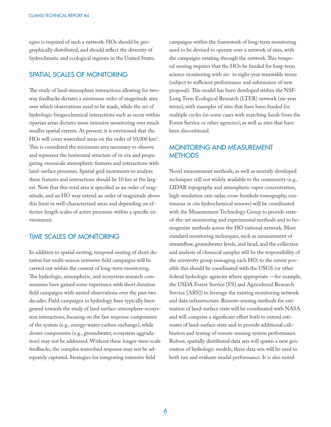egies is required of such a network. HOs should be geographically distributed, and should reflect the diversity of hydroclimatic and ecological regimes in the United States.

#### SPATIAL SCALES OF MONITORING

The study of land-atmosphere interactions allowing for twoway feedbacks dictates a minimum order of magnitude area over which observations need to be made, while the set of hydrologic-biogeochemical interactions such as occur within riparian areas dictates more intensive monitoring over much smaller spatial extents. At present, it is envisioned that the HOs will cover watershed areas on the order of 10,000 km2 . This is considered the minimum area necessary to observe and represent the horizontal structure of *in situ* and propagating mesoscale atmospheric features and interactions with land-surface processes. Spatial grid increments to analyze these features and interactions should be 10 km at the largest. Note that this total area is specified as an order of magnitude, and an HO may extend an order of magnitude above this limit in well-characterized areas and depending on effective length scales of active processes within a specific environment.

#### TIME SCALES OF MONITORING

In addition to spatial nesting, temporal nesting of short duration but multi-season intensive field campaigns will be carried out within the context of long-term monitoring. The hydrologic, atmospheric, and ecosystem research communities have gained some experience with short duration field campaigns with nested observations over the past two decades. Field campaigns in hydrology have typically been geared towards the study of land surface-atmosphere-ecosystem interactions, focusing on the fast response components of the system (e.g., energy-water-carbon exchange), while slower components (e.g., groundwater, ecosystem aggradation) may not be addressed. Without these longer-time-scale feedbacks, the complex watershed response may not be adequately captured. Strategies for integrating intensive field

campaigns within the framework of long-term monitoring need to be devised to operate over a network of sites, with the campaigns rotating through the network. This temporal nesting requires that the HOs be funded for long-term science monitoring with six- to eight-year renewable terms (subject to sufficient performance and submission of new proposal). This model has been developed within the NSF-Long Term Ecological Research (LTER) network (six-year terms), with examples of sites that have been funded for multiple cycles (in some cases with matching funds from the Forest Service or other agencies), as well as sites that have been discontinued.

### MONITORING AND MEASUREMENT **METHODS**

Novel measurement methods, as well as recently developed techniques still not widely available to the community (e.g., LIDAR topography and atmospheric vapor concentration, high-resolution rain radar, cross-borehole tomography, continuous *in situ* hydrochemical sensors) will be coordinated with the Measurement Technology Group to provide stateof-the-art monitoring and experimental methods and to homogenize methods across the HO national network. More standard monitoring techniques, such as measurement of streamflow, groundwater levels, and head, and the collection and analysis of chemical samples will be the responsibility of the university group managing each HO; to the extent possible this should be coordinated with the USGS (or other federal hydrologic agencies where appropriate —for example, the USDA Forest Service [FS] and Agricultural Research Service [ARS]) to leverage the existing monitoring network and data infrastructure. Remote-sensing methods for estimation of land-surface state will be coordinated with NASA and will comprise a significant effort both to extend estimates of land-surface state and to provide additional calibration and testing of remote-sensing system performance. Robust, spatially distributed data sets will spawn a new generation of hydrologic models; these data sets will be used to both run and evaluate model performance. It is also noted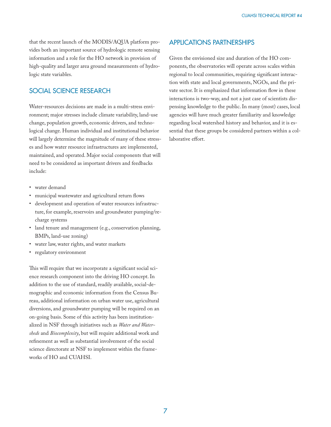that the recent launch of the MODIS/AQUA platform provides both an important source of hydrologic remote sensing information and a role for the HO network in provision of high-quality and larger area ground measurements of hydrologic state variables.

### SOCIAL SCIENCE RESEARCH

Water-resources decisions are made in a multi-stress environment; major stresses include climate variability, land-use change, population growth, economic drivers, and technological change. Human individual and institutional behavior will largely determine the magnitude of many of these stresses and how water resource infrastructures are implemented, maintained, and operated. Major social components that will need to be considered as important drivers and feedbacks include:

- water demand
- municipal wastewater and agricultural return flows
- development and operation of water resources infrastructure, for example, reservoirs and groundwater pumping/recharge systems
- land tenure and management (e.g., conservation planning, BMPs, land-use zoning)
- water law, water rights, and water markets
- regulatory environment

This will require that we incorporate a significant social science research component into the driving HO concept. In addition to the use of standard, readily available, social-demographic and economic information from the Census Bureau, additional information on urban water use, agricultural diversions, and groundwater pumping will be required on an on-going basis. Some of this activity has been institutionalized in NSF through initiatives such as *Water and Watersheds* and *Biocomplexity*, but will require additional work and refinement as well as substantial involvement of the social science directorate at NSF to implement within the frameworks of HO and CUAHSI.

### APPLICATIONS PARTNERSHIPS

Given the envisioned size and duration of the HO components, the observatories will operate across scales within regional to local communities, requiring significant interaction with state and local governments, NGOs, and the private sector. It is emphasized that information flow in these interactions is two-way, and not a just case of scientists dispensing knowledge to the public. In many (most) cases, local agencies will have much greater familiarity and knowledge regarding local watershed history and behavior, and it is essential that these groups be considered partners within a collaborative effort.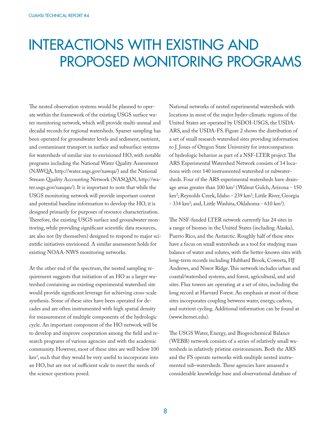### INTERACTIONS WITH EXISTING AND PROPOSED MONITORING PROGRAMS

The nested observation systems would be planned to operate within the framework of the existing USGS surface water monitoring network, which will provide multi-annual and decadal records for regional watersheds. Sparser sampling has been operated for groundwater levels and sediment, nutrient, and contaminant transport in surface and subsurface systems for watersheds of similar size to envisioned HO, with notable programs including the National Water Quality Assessment (NAWQA, http://water.usgs.gov/nawqa/) and the National Stream Quality Accounting Network (NASQAN, http://water.usgs.gov/nasqan/). It is important to note that while the USGS monitoring network will provide important context and potential baseline information to develop the HO, it is designed primarily for purposes of resource characterization. Therefore, the existing USGS surface and groundwater monitoring, while providing significant scientific data resources, are also not (by themselves) designed to respond to major scientific initiatives envisioned. A similar assessment holds for existing NOAA-NWS monitoring networks.

At the other end of the spectrum, the nested sampling requirement suggests that initiation of an HO as a larger watershed containing an existing experimental watershed site would provide significant leverage for achieving cross-scale synthesis. Some of these sites have been operated for decades and are often instrumented with high spatial density for measurement of multiple components of the hydrologic cycle. An important component of the HO network will be to develop and improve cooperation among the field and research programs of various agencies and with the academic community. However, most of these sites are well below 100 km2 , such that they would be very useful to incorporate into an HO, but are not of sufficient scale to meet the needs of the science questions posed.

National networks of nested experimental watersheds with locations in most of the major hydro-climatic regions of the United States are operated by USDOI-USGS, the USDA-ARS, and the USDA-FS. Figure 2 shows the distribution of a set of small research watershed sites providing information to J. Jones of Oregon State University for intercomparison of hydrologic behavior as part of a NSF-LTER project. The ARS Experimental Watershed Network consists of 14 locations with over 140 instrumented watershed or subwatersheds. Four of the ARS experimental watersheds have drainage areas greater than 100 km2 (Walnut Gulch, Arizona - 150 km²; Reynolds Creek, Idaho - 239 km²; Little River, Georgia - 334 km²; and, Little Washita, Oklahoma - 610 km²).

The NSF-funded LTER network currently has 24 sites in a range of biomes in the United States (including Alaska), Puerto Rico, and the Antarctic. Roughly half of these sites have a focus on small watersheds as a tool for studying mass balance of water and solutes, with the better-known sites with long-term records including Hubbard Brook, Coweeta, HJ Andrews, and Niwot Ridge. This network includes urban and coastal/watershed systems, and forest, agricultural, and arid sites. Flux towers are operating at a set of sites, including the long record at Harvard Forest. An emphasis at most of these sites incorporates coupling between water, energy, carbon, and nutrient cycling. Additional information can be found at (www.lternet.edu).

The USGS Water, Energy, and Biogeochemical Balance (WEBB) network consists of a series of relatively small watersheds in relatively pristine environments. Both the ARS and the FS operate networks with multiple nested instrumented sub-watersheds. These agencies have amassed a considerable knowledge base and observational database of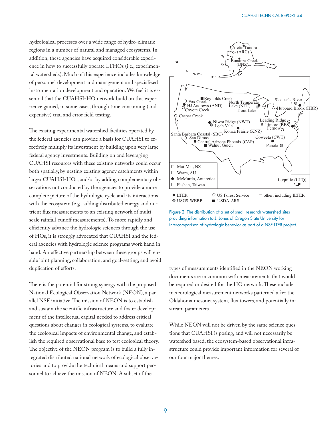hydrological processes over a wide range of hydro-climatic regions in a number of natural and managed ecosystems. In addition, these agencies have acquired considerable experience in how to successfully operate LTHOs (i.e., experimental watersheds). Much of this experience includes knowledge of personnel development and management and specialized instrumentation development and operation. We feel it is essential that the CUAHSI-HO network build on this experience gained, in some cases, through time consuming (and expensive) trial and error field testing.

The existing experimental watershed facilities operated by the federal agencies can provide a basis for CUAHSI to effectively multiply its investment by building upon very large federal agency investments. Building on and leveraging CUAHSI resources with these existing networks could occur both spatially, by nesting existing agency catchments within larger CUAHSI-HOs, and/or by adding complementary observations not conducted by the agencies to provide a more complete picture of the hydrologic cycle and its interactions with the ecosystem (e.g., adding distributed energy and nutrient flux measurements to an existing network of multiscale rainfall-runoff measurements). To more rapidly and efficiently advance the hydrologic sciences through the use of HOs, it is strongly advocated that CUAHSI and the federal agencies with hydrologic science programs work hand in hand. An effective partnership between these groups will enable joint planning, collaboration, and goal-setting, and avoid duplication of efforts.

There is the potential for strong synergy with the proposed National Ecological Observation Network (NEON), a parallel NSF initiative. The mission of NEON is to establish and sustain the scientific infrastructure and foster development of the intellectual capital needed to address critical questions about changes in ecological systems, to evaluate the ecological impacts of environmental change, and establish the required observational base to test ecological theory. The objective of the NEON program is to build a fully integrated distributed national network of ecological observatories and to provide the technical means and support personnel to achieve the mission of NEON. A subset of the



Figure 2. The distribution of a set of small research watershed sites providing information to J. Jones of Oregon State University for intercomparison of hydrologic behavior as part of a NSF-LTER project.

types of measurements identified in the NEON working documents are in common with measurements that would be required or desired for the HO network. These include meteorological measurement networks patterned after the Oklahoma mesonet system, flux towers, and potentially instream parameters.

While NEON will not be driven by the same science questions that CUAHSI is posing, and will not necessarily be watershed based, the ecosystem-based observational infrastructure could provide important information for several of our four major themes.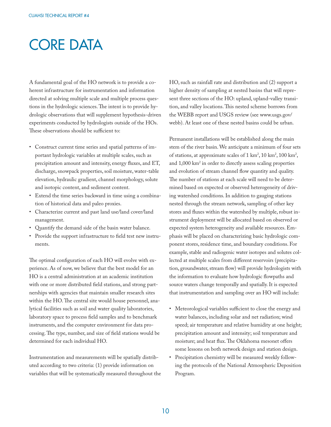# CORE DATA

A fundamental goal of the HO network is to provide a coherent infrastructure for instrumentation and information directed at solving multiple scale and multiple process questions in the hydrologic sciences. The intent is to provide hydrologic observations that will supplement hypothesis-driven experiments conducted by hydrologists outside of the HOs. These observations should be sufficient to:

- Construct current time series and spatial patterns of important hydrologic variables at multiple scales, such as precipitation amount and intensity, energy fluxes, and ET, discharge, snowpack properties, soil moisture, water-table elevation, hydraulic gradient, channel morphology, solute and isotopic content, and sediment content.
- Extend the time series backward in time using a combination of historical data and paleo proxies.
- Characterize current and past land use/land cover/land management.
- Quantify the demand side of the basin water balance.
- Provide the support infrastructure to field test new instruments.

The optimal configuration of each HO will evolve with experience. As of now, we believe that the best model for an HO is a central administration at an academic institution with one or more distributed field stations, and strong partnerships with agencies that maintain smaller research sites within the HO. The central site would house personnel, analytical facilities such as soil and water quality laboratories, laboratory space to process field samples and to benchmark instruments, and the computer environment for data processing. The type, number, and size of field stations would be determined for each individual HO.

Instrumentation and measurements will be spatially distributed according to two criteria: (1) provide information on variables that will be systematically measured throughout the HO, such as rainfall rate and distribution and (2) support a higher density of sampling at nested basins that will represent three sections of the HO: upland, upland-valley transition, and valley locations. This nested scheme borrows from the WEBB report and USGS review (see www.usgs.gov/ webb). At least one of these nested basins could be urban.

Permanent installations will be established along the main stem of the river basin. We anticipate a minimum of four sets of stations, at approximate scales of  $1 \text{ km}^2$ ,  $10 \text{ km}^2$ ,  $100 \text{ km}^2$ , and 1,000 km<sup>2</sup> in order to directly assess scaling properties and evolution of stream channel flow quantity and quality. The number of stations at each scale will need to be determined based on expected or observed heterogeneity of driving watershed conditions. In addition to gauging stations nested through the stream network, sampling of other key stores and fluxes within the watershed by multiple, robust instrument deployment will be allocated based on observed or expected system heterogeneity and available resources. Emphasis will be placed on characterizing basic hydrologic component stores, residence time, and boundary conditions. For example, stable and radiogenic water isotopes and solutes collected at multiple scales from different reservoirs (precipitation, groundwater, stream flow) will provide hydrologists with the information to evaluate how hydrologic flowpaths and source waters change temporally and spatially. It is expected that instrumentation and sampling over an HO will include:

- Meteorological variables sufficient to close the energy and water balances, including solar and net radiation; wind speed; air temperature and relative humidity at one height; precipitation amount and intensity; soil temperature and moisture; and heat flux. The Oklahoma mesonet offers some lessons on both network design and station design.
- Precipitation chemistry will be measured weekly following the protocols of the National Atmospheric Deposition Program.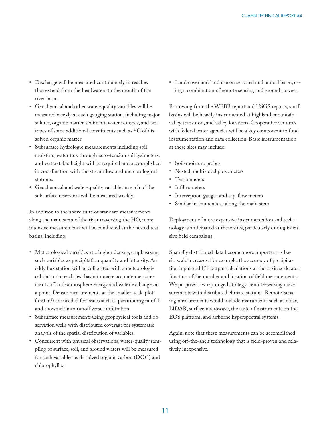- Discharge will be measured continuously in reaches that extend from the headwaters to the mouth of the river basin.
- Geochemical and other water-quality variables will be measured weekly at each gauging station, including major solutes, organic matter, sediment, water isotopes, and isotopes of some additional constituents such as 13C of dissolved organic matter.
- Subsurface hydrologic measurements including soil moisture, water flux through zero-tension soil lysimeters, and water-table height will be required and accomplished in coordination with the streamflow and meteorological stations.
- Geochemical and water-quality variables in each of the subsurface reservoirs will be measured weekly.

In addition to the above suite of standard measurements along the main stem of the river traversing the HO, more intensive measurements will be conducted at the nested test basins, including:

- Meteorological variables at a higher density, emphasizing such variables as precipitation quantity and intensity. An eddy flux station will be collocated with a meteorological station in each test basin to make accurate measurements of land-atmosphere energy and water exchanges at a point. Denser measurements at the smaller-scale plots  $( $50 \text{ m}^2$ )$  are needed for issues such as partitioning rainfall and snowmelt into runoff versus infiltration.
- Subsurface measurements using geophysical tools and observation wells with distributed coverage for systematic analysis of the spatial distribution of variables.
- Concurrent with physical observations, water-quality sampling of surface, soil, and ground waters will be measured for such variables as dissolved organic carbon (DOC) and chlorophyll *a*.

• Land cover and land use on seasonal and annual bases, using a combination of remote sensing and ground surveys.

Borrowing from the WEBB report and USGS reports, small basins will be heavily instrumented at highland, mountainvalley transition, and valley locations. Cooperative ventures with federal water agencies will be a key component to fund instrumentation and data collection. Basic instrumentation at these sites may include:

- Soil-moisture probes
- Nested, multi-level piezometers
- Tensiometers
- Infiltrometers
- Interception gauges and sap-flow meters
- Similar instruments as along the main stem

Deployment of more expensive instrumentation and technology is anticipated at these sites, particularly during intensive field campaigns.

Spatially distributed data become more important as basin scale increases. For example, the accuracy of precipitation input and ET output calculations at the basin scale are a function of the number and location of field measurements. We propose a two-pronged strategy: remote-sensing measurements with distributed climate stations. Remote-sensing measurements would include instruments such as radar, LIDAR, surface microwave, the suite of instruments on the EOS platform, and airborne hyperspectral systems.

Again, note that these measurements can be accomplished using off-the-shelf technology that is field-proven and relatively inexpensive.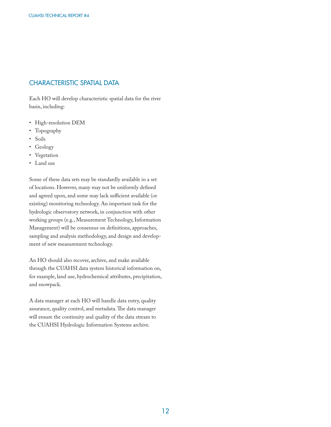### CHARACTERISTIC SPATIAL DATA

Each HO will develop characteristic spatial data for the river basin, including:

- High-resolution DEM
- Topography
- Soils
- Geology
- Vegetation
- Land use

Some of these data sets may be standardly available in a set of locations. However, many may not be uniformly defined and agreed upon, and some may lack sufficient available (or existing) monitoring technology. An important task for the hydrologic observatory network, in conjunction with other working groups (e.g., Measurement Technology, Information Management) will be consensus on definitions, approaches, sampling and analysis methodology, and design and development of new measurement technology.

An HO should also recover, archive, and make available through the CUAHSI data system historical information on, for example, land use, hydrochemical attributes, precipitation, and snowpack.

A data manager at each HO will handle data entry, quality assurance, quality control, and metadata. The data manager will ensure the continuity and quality of the data stream to the CUAHSI Hydrologic Information Systems archive.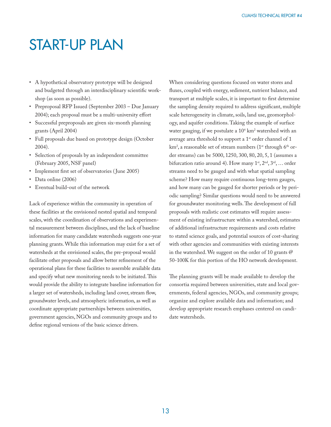### START-UP PLAN

- A hypothetical observatory prototype will be designed and budgeted through an interdisciplinary scientific workshop (as soon as possible).
- Preproposal RFP Issued (September 2003 Due January 2004); each proposal must be a multi-university effort
- Successful preproposals are given six-month planning grants (April 2004)
- Full proposals due based on prototype design (October 2004).
- Selection of proposals by an independent committee (February 2005, NSF panel)
- Implement first set of observatories (June 2005)
- Data online (2006)
- Eventual build-out of the network

Lack of experience within the community in operation of these facilities at the envisioned nested spatial and temporal scales, with the coordination of observations and experimental measurement between disciplines, and the lack of baseline information for many candidate watersheds suggests one-year planning grants. While this information may exist for a set of watersheds at the envisioned scales, the pre-proposal would facilitate other proposals and allow better refinement of the operational plans for these facilities to assemble available data and specify what new monitoring needs to be initiated. This would provide the ability to integrate baseline information for a larger set of watersheds, including land cover, stream flow, groundwater levels, and atmospheric information, as well as coordinate appropriate partnerships between universities, government agencies, NGOs and community groups and to define regional versions of the basic science drivers.

When considering questions focused on water stores and fluxes, coupled with energy, sediment, nutrient balance, and transport at multiple scales, it is important to first determine the sampling density required to address significant, multiple scale heterogeneity in climate, soils, land use, geomorphology, and aquifer conditions. Taking the example of surface water gauging, if we postulate a  $10^4$  km<sup>2</sup> watershed with an average area threshold to support a 1<sup>st</sup> order channel of 1 km², a reasonable set of stream numbers (1st through 6th order streams) can be 5000, 1250, 300, 80, 20, 5, 1 (assumes a bifurcation ratio around 4). How many  $1^{st}$ ,  $2^{nd}$ ,  $3^{rd}$ , ... order streams need to be gauged and with what spatial sampling scheme? How many require continuous long-term gauges, and how many can be gauged for shorter periods or by periodic sampling? Similar questions would need to be answered for groundwater monitoring wells. The development of full proposals with realistic cost estimates will require assessment of existing infrastructure within a watershed, estimates of additional infrastructure requirements and costs relative to stated science goals, and potential sources of cost-sharing with other agencies and communities with existing interests in the watershed. We suggest on the order of 10 grants @ 50-100K for this portion of the HO network development.

The planning grants will be made available to develop the consortia required between universities, state and local governments, federal agencies, NGOs, and community groups; organize and explore available data and information; and develop appropriate research emphases centered on candidate watersheds.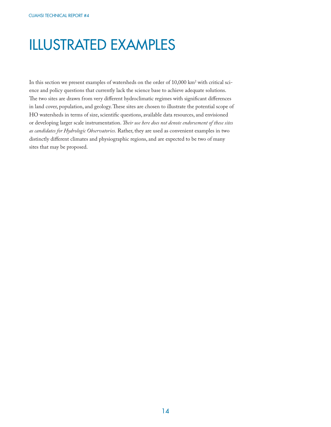# ILLUSTRATED EXAMPLES

In this section we present examples of watersheds on the order of  $10,\!000$  km² with critical science and policy questions that currently lack the science base to achieve adequate solutions. The two sites are drawn from very different hydroclimatic regimes with significant differences in land cover, population, and geology. These sites are chosen to illustrate the potential scope of HO watersheds in terms of size, scientific questions, available data resources, and envisioned or developing larger scale instrumentation. *Their use here does not denote endorsement of these sites as candidates for Hydrologic Observatories.* Rather, they are used as convenient examples in two distinctly different climates and physiographic regions, and are expected to be two of many sites that may be proposed.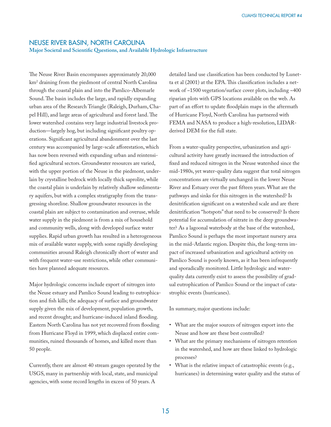### NEUSE RIVER BASIN, NORTH CAROLINA

Major Societal and Scientific Questions, and Available Hydrologic Infrastructure

The Neuse River Basin encompasses approximately 20,000 km2 draining from the piedmont of central North Carolina through the coastal plain and into the Pamlico-Albemarle Sound. The basin includes the large, and rapidly expanding urban area of the Research Triangle (Raleigh, Durham, Chapel Hill), and large areas of agricultural and forest land. The lower watershed contains very large industrial livestock production—largely hog, but including significant poultry operations. Significant agricultural abandonment over the last century was accompanied by large-scale afforestation, which has now been reversed with expanding urban and reintensified agricultural sectors. Groundwater resources are varied, with the upper portion of the Neuse in the piedmont, underlain by crystalline bedrock with locally thick saprolite, while the coastal plain is underlain by relatively shallow sedimentary aquifers, but with a complex stratigraphy from the transgressing shoreline. Shallow groundwater resources in the coastal plain are subject to contamination and overuse, while water supply in the piedmont is from a mix of household and community wells, along with developed surface water supplies. Rapid urban growth has resulted in a heterogeneous mix of available water supply, with some rapidly developing communities around Raleigh chronically short of water and with frequent water-use restrictions, while other communities have planned adequate resources.

Major hydrologic concerns include export of nitrogen into the Neuse estuary and Pamlico Sound leading to eutrophication and fish kills; the adequacy of surface and groundwater supply given the mix of development, population growth, and recent drought; and hurricane-induced inland flooding. Eastern North Carolina has not yet recovered from flooding from Hurricane Floyd in 1999, which displaced entire communities, ruined thousands of homes, and killed more than 50 people.

Currently, there are almost 40 stream gauges operated by the USGS, many in partnership with local, state, and municipal agencies, with some record lengths in excess of 50 years. A

detailed land use classification has been conducted by Lunetta et al  $(2001)$  at the EPA. This classification includes a network of ~1500 vegetation/surface cover plots, including ~400 riparian plots with GPS locations available on the web. As part of an effort to update floodplain maps in the aftermath of Hurricane Floyd, North Carolina has partnered with FEMA and NASA to produce a high-resolution, LIDARderived DEM for the full state.

From a water-quality perspective, urbanization and agricultural activity have greatly increased the introduction of fixed and reduced nitrogen in the Neuse watershed since the mid-1980s, yet water-quality data suggest that total nitrogen concentrations are virtually unchanged in the lower Neuse River and Estuary over the past fifteen years. What are the pathways and sinks for this nitrogen in the watershed? Is denitrification significant on a watershed scale and are there denitrification "hotspots" that need to be conserved? Is there potential for accumulation of nitrate in the deep groundwater? As a lagoonal waterbody at the base of the watershed, Pamlico Sound is perhaps the most important nursery area in the mid-Atlantic region. Despite this, the long-term impact of increased urbanization and agricultural activity on Pamlico Sound is poorly known, as it has been infrequently and sporadically monitored. Little hydrologic and waterquality data currently exist to assess the possibility of gradual eutrophication of Pamlico Sound or the impact of catastrophic events (hurricanes).

In summary, major questions include:

- What are the major sources of nitrogen export into the Neuse and how are these best controlled?
- What are the primary mechanisms of nitrogen retention in the watershed, and how are these linked to hydrologic processes?
- What is the relative impact of catastrophic events (e.g., hurricanes) in determining water quality and the status of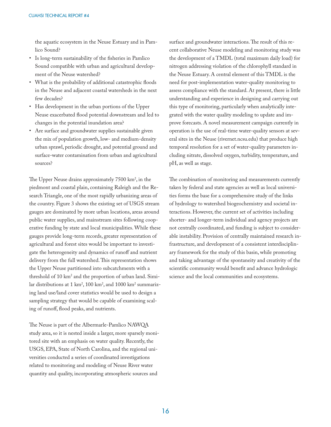the aquatic ecosystem in the Neuse Estuary and in Pamlico Sound?

- Is long-term sustainability of the fisheries in Pamlico Sound compatible with urban and agricultural development of the Neuse watershed?
- What is the probability of additional catastrophic floods in the Neuse and adjacent coastal watersheds in the next few decades?
- Has development in the urban portions of the Upper Neuse exacerbated flood potential downstream and led to changes in the potential inundation area?
- Are surface and groundwater supplies sustainable given the mix of population growth, low- and medium-density urban sprawl, periodic drought, and potential ground and surface-water contamination from urban and agricultural sources?

The Upper Neuse drains approximately 7500 km<sup>2</sup>, in the piedmont and coastal plain, containing Raleigh and the Research Triangle, one of the most rapidly urbanizing areas of the country. Figure 3 shows the existing set of USGS stream gauges are dominated by more urban locations, areas around public water supplies, and mainstream sites following cooperative funding by state and local municipalities. While these gauges provide long-term records, greater representation of agricultural and forest sites would be important to investigate the heterogeneity and dynamics of runoff and nutrient delivery from the full watershed. This representation shows the Upper Neuse partitioned into subcatchments with a threshold of 10 km<sup>2</sup> and the proportion of urban land. Similar distributions at 1 km², 100 km², and 1000 km² summarizing land use/land cover statistics would be used to design a sampling strategy that would be capable of examining scaling of runoff, flood peaks, and nutrients.

The Neuse is part of the Albermarle-Pamlico NAWQA study area, so it is nested inside a larger, more sparsely monitored site with an emphasis on water quality. Recently, the USGS, EPA, State of North Carolina, and the regional universities conducted a series of coordinated investigations related to monitoring and modeling of Neuse River water quantity and quality, incorporating atmospheric sources and

surface and groundwater interactions. The result of this recent collaborative Neuse modeling and monitoring study was the development of a TMDL (total maximum daily load) for nitrogen addressing violation of the chlorophyll standard in the Neuse Estuary. A central element of this TMDL is the need for post-implementation water-quality monitoring to assess compliance with the standard. At present, there is little understanding and experience in designing and carrying out this type of monitoring, particularly when analytically integrated with the water quality modeling to update and improve forecasts. A novel measurement campaign currently in operation is the use of real-time water-quality sensors at several sites in the Neuse (rivernet.ncsu.edu) that produce high temporal resolution for a set of water-quality parameters including nitrate, dissolved oxygen, turbidity, temperature, and pH, as well as stage.

The combination of monitoring and measurements currently taken by federal and state agencies as well as local universities forms the base for a comprehensive study of the links of hydrology to watershed biogeochemistry and societal interactions. However, the current set of activities including shorter- and longer-term individual and agency projects are not centrally coordinated, and funding is subject to considerable instability. Provision of centrally maintained research infrastructure, and development of a consistent interdisciplinary framework for the study of this basin, while promoting and taking advantage of the spontaneity and creativity of the scientific community would benefit and advance hydrologic science and the local communities and ecosystems.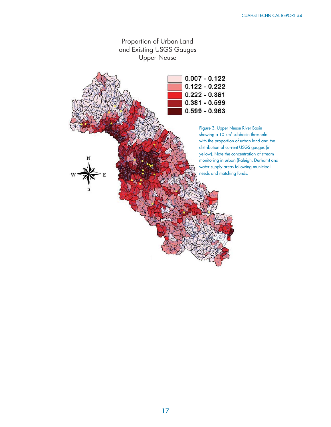

17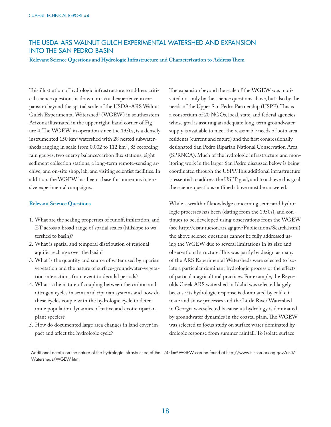### THE USDA-ARS WALNUT GULCH EXPERIMENTAL WATERSHED AND EXPANSION INTO THE SAN PEDRO BASIN

#### Relevant Science Questions and Hydrologic Infrastructure and Characterization to Address Them

This illustration of hydrologic infrastructure to address critical science questions is drawn on actual experience in expansion beyond the spatial scale of the USDA-ARS Walnut Gulch Experimental Watershed<sup>1</sup> (WGEW) in southeastern Arizona illustrated in the upper right-hand corner of Figure 4. The WGEW, in operation since the 1950s, is a densely instrumented  $150$  km<sup>2</sup> watershed with 28 nested subwatersheds ranging in scale from 0.002 to 112 km<sup>2</sup>, 85 recording rain gauges, two energy balance/carbon flux stations, eight sediment collection stations, a long-term remote-sensing archive, and on-site shop, lab, and visiting scientist facilities. In addition, the WGEW has been a base for numerous intensive experimental campaigns.

#### **Relevant Science Questions**

- 1. What are the scaling properties of runoff, infiltration, and ET across a broad range of spatial scales (hillslope to watershed to basin)?
- 2. What is spatial and temporal distribution of regional aquifer recharge over the basin?
- 3. What is the quantity and source of water used by riparian vegetation and the nature of surface-groundwater-vegetation interactions from event to decadal periods?
- 4. What is the nature of coupling between the carbon and nitrogen cycles in semi-arid riparian systems and how do these cycles couple with the hydrologic cycle to determine population dynamics of native and exotic riparian plant species?
- 5. How do documented large area changes in land cover impact and affect the hydrologic cycle?

The expansion beyond the scale of the WGEW was motivated not only by the science questions above, but also by the needs of the Upper San Pedro Partnership (USPP). This is a consortium of 20 NGOs, local, state, and federal agencies whose goal is assuring an adequate long-term groundwater supply is available to meet the reasonable needs of both area residents (current and future) and the first congressionally designated San Pedro Riparian National Conservation Area (SPRNCA). Much of the hydrologic infrastructure and monitoring work in the larger San Pedro discussed below is being coordinated through the USPP. This additional infrastructure is essential to address the USPP goal, and to achieve this goal the science questions outlined above must be answered.

While a wealth of knowledge concerning semi-arid hydrologic processes has been (dating from the 1950s), and continues to be, developed using observations from the WGEW (see http://eisnr.tucson.ars.ag.gov/Publications/Search.html) the above science questions cannot be fully addressed using the WGEW due to several limitations in its size and observational structure. This was partly by design as many of the ARS Experimental Watersheds were selected to isolate a particular dominant hydrologic process or the effects of particular agricultural practices. For example, the Reynolds Creek ARS watershed in Idaho was selected largely because its hydrologic response is dominated by cold climate and snow processes and the Little River Watershed in Georgia was selected because its hydrology is dominated by groundwater dynamics in the coastal plain. The WGEW was selected to focus study on surface water dominated hydrologic response from summer rainfall. To isolate surface

1 Additional details on the nature of the hydrologic infrastructure of the 150 km2 WGEW can be found at http://www.tucson.ars.ag.gov/unit/ Watersheds/WGEW.htm.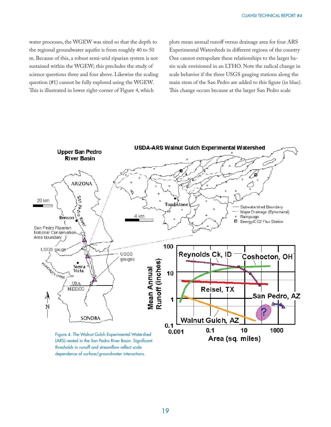water processes, the WGEW was sited so that the depth to the regional groundwater aquifer is from roughly 40 to 50 m. Because of this, a robust semi-arid riparian system is not sustained within the WGEW; this precludes the study of science questions three and four above. Likewise the scaling question (#1) cannot be fully explored using the WGEW. This is illustrated in lower right-corner of Figure 4, which

plots mean annual runoff versus drainage area for four ARS Experimental Watersheds in different regions of the country One cannot extrapolate these relationships to the larger basin scale envisioned in an LTHO. Note the radical change in scale behavior if the three USGS gauging stations along the main stem of the San Pedro are added to this figure (in blue). This change occurs because at the larger San Pedro scale



(ARS) nested in the San Pedro River Basin. Significant thresholds in runoff and streamflow reflect scale dependence of surface/groundwater interactions.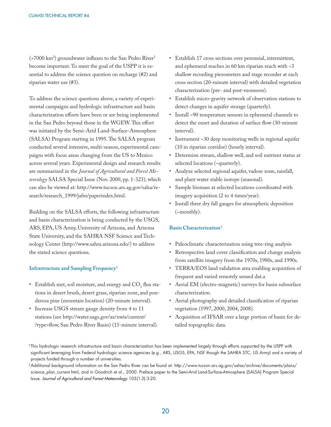(>7000 km<sup>2</sup>) groundwater influxes to the San Pedro River<sup>2</sup> become important. To meet the goal of the USPP it is essential to address the science question on recharge (#2) and riparian water use (#3).

To address the science questions above, a variety of experimental campaigns and hydrologic infrastructure and basin characterization efforts have been or are being implemented in the San Pedro beyond those in the WGEW. This effort was initiated by the Semi-Arid Land-Surface-Atmosphere (SALSA) Program starting in 1995. The SALSA program conducted several intensive, multi-season, experimental campaigns with focus areas changing from the US to Mexico across several years. Experimental design and research results are summarized in the *Journal of Agricultural and Forest Meteorology* SALSA Special Issue (Nov. 2000, pp. 1-323), which can also be viewed at: http://www.tucson.ars.ag.gov/salsa/research/research\_1999/jafm/paperindex.html.

Building on the SALSA efforts, the following infrastructure and basin characterization is being conducted by the USGS, ARS, EPA, US Army, University of Arizona, and Arizona State University, and the SAHRA NSF Science and Technology Center (http://www.sahra.arizona.edu/) to address the stated science questions.

#### **Infrastructure and Sampling Frequency3**

- Establish met, soil moisture, and energy and  $\mathrm{CO}_2^{\phantom{\dag}}$  flux stations in desert brush, desert grass, riparian zone, and ponderosa pine (mountain location) (20-minute interval).
- Increase USGS stream gauge density from 4 to 11 stations (see http://water.usgs.gov/az/nwis/current/ ?type=flow, San Pedro River Basin) (15-minute interval).
- Establish 17 cross sections over perennial, intermittent, and ephemeral reaches in 60 km riparian reach with  $\sim$ 3 shallow recording piezometers and stage recorder at each cross section (20-minute interval) with detailed vegetation characterization (pre- and post-monsoon).
- Establish micro-gravity network of observation stations to detect changes in aquifer storage (quarterly).
- Install ~90 temperature sensors in ephemeral channels to detect the onset and duration of surface flow (30-minute interval).
- Instrument ~30 deep monitoring wells in regional aquifer (10 in riparian corridor) (hourly interval).
- Determine stream, shallow well, and soil nutrient status at selected locations (~quarterly).
- Analyze selected regional aquifer, vadose zone, rainfall, and plant water stable isotope (seasonal).
- Sample biomass at selected locations coordinated with imagery acquisition (2 to 4 times/year).
- Install three dry fall gauges for atmospheric deposition (~monthly).

#### **Basin Characterization3**

- Paleoclimatic characterization using tree-ring analysis
- Retrospective land cover classification and change analysis from satellite imagery from the 1970s, 1980s, and 1990s.
- TERRA/EOS land validation area enabling acquisition of frequent and varied remotely sensed dat.a
- Aerial EM (electro-magnetic) surveys for basin subsurface characterization.
- Aerial photography and detailed classification of riparian vegetation (1997, 2000, 2004, 2008).
- Acquisition of IFSAR over a large portion of basin for detailed topographic data.

<sup>&</sup>lt;sup>3</sup>This hydrologic research infrastructure and basin characterization has been implemented largely through efforts supported by the USPP with significant leveraging from Federal hydrologic science agencies (e.g., ARS, USGS, EPA, NSF though the SAHRA STC, US Army) and a variety of projects funded through a number of universities.

<sup>2</sup> Additional background information on the San Pedro River can be found at: http://www.tucson.ars.ag.gov/salsa/archive/documents/plans/ science\_plan\_current.html, and in Goodrich et al., 2000. Preface paper to the Semi-Arid Land-Surface-Atmosphere (SALSA) Program Special Issue. *Journal of Agricultural and Forest Meteorology* 105(1-3):3-20.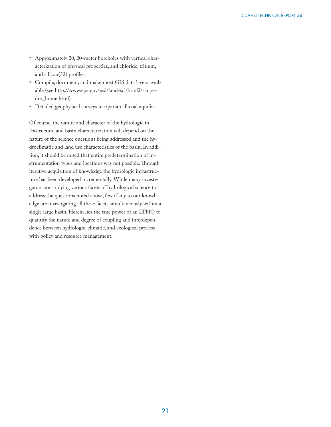- Approximately 20, 20-meter boreholes with vertical characterization of physical properties, and chloride, tritium, and silicon $(32)$  profiles.
- Compile, document, and make most GIS data layers available (see http://www.epa.gov/esd/land-sci/html2/sanpedro\_home.html).
- Detailed geophysical surveys in riparian alluvial aquifer.

Of course, the nature and character of the hydrologic infrastructure and basin characterization will depend on the nature of the science questions being addressed and the hydroclimatic and land use characteristics of the basin. In addition, it should be noted that entire predetermination of instrumentation types and locations was not possible. Through iterative acquisition of knowledge the hydrologic infrastructure has been developed incrementally. While many investigators are studying various facets of hydrological science to address the questions noted above, few if any to our knowledge are investigating all these facets simultaneously within a single large basin. Herein lies the true power of an LTHO to quantify the nature and degree of coupling and interdependence between hydrologic, climatic, and ecological process with policy and resource management.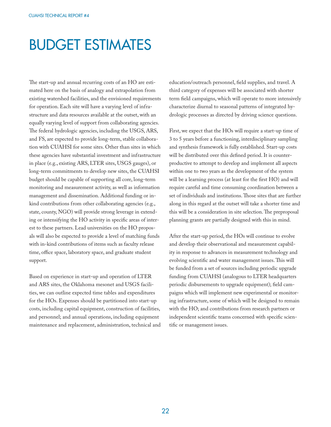## BUDGET ESTIMATES

The start-up and annual recurring costs of an HO are estimated here on the basis of analogy and extrapolation from existing watershed facilities, and the envisioned requirements for operation. Each site will have a varying level of infrastructure and data resources available at the outset, with an equally varying level of support from collaborating agencies. The federal hydrologic agencies, including the USGS, ARS, and FS, are expected to provide long-term, stable collaboration with CUAHSI for some sites. Other than sites in which these agencies have substantial investment and infrastructure in place (e.g., existing ARS, LTER sites, USGS gauges), or long-term commitments to develop new sites, the CUAHSI budget should be capable of supporting all core, long-term monitoring and measurement activity, as well as information management and dissemination. Additional funding or inkind contributions from other collaborating agencies (e.g., state, county, NGO) will provide strong leverage in extending or intensifying the HO activity in specific areas of interest to these partners. Lead universities on the HO proposals will also be expected to provide a level of matching funds with in-kind contributions of items such as faculty release time, office space, laboratory space, and graduate student support.

Based on experience in start-up and operation of LTER and ARS sites, the Oklahoma mesonet and USGS facilities, we can outline expected time tables and expenditures for the HOs. Expenses should be partitioned into start-up costs, including capital equipment, construction of facilities, and personnel; and annual operations, including equipment maintenance and replacement, administration, technical and education/outreach personnel, field supplies, and travel. A third category of expenses will be associated with shorter term field campaigns, which will operate to more intensively characterize diurnal to seasonal patterns of integrated hydrologic processes as directed by driving science questions.

First, we expect that the HOs will require a start-up time of 3 to 5 years before a functioning, interdisciplinary sampling and synthesis framework is fully established. Start-up costs will be distributed over this defined period. It is counterproductive to attempt to develop and implement all aspects within one to two years as the development of the system will be a learning process (at least for the first HO) and will require careful and time consuming coordination between a set of individuals and institutions. Those sites that are further along in this regard at the outset will take a shorter time and this will be a consideration in site selection. The preproposal planning grants are partially designed with this in mind.

After the start-up period, the HOs will continue to evolve and develop their observational and measurement capability in response to advances in measurement technology and evolving scientific and water management issues. This will be funded from a set of sources including periodic upgrade funding from CUAHSI (analogous to LTER headquarters periodic disbursements to upgrade equipment); field campaigns which will implement new experimental or monitoring infrastructure, some of which will be designed to remain with the HO; and contributions from research partners or independent scientific teams concerned with specific scientific or management issues.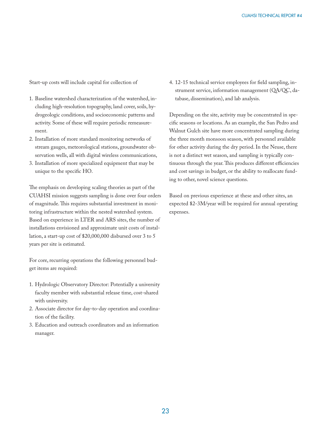Start-up costs will include capital for collection of

- 1. Baseline watershed characterization of the watershed, including high-resolution topography, land cover, soils, hydrogeologic conditions, and socioeconomic patterns and activity. Some of these will require periodic remeasurement.
- 2. Installation of more standard monitoring networks of stream gauges, meteorological stations, groundwater observation wells, all with digital wireless communications,
- 3. Installation of more specialized equipment that may be unique to the specific HO.

The emphasis on developing scaling theories as part of the CUAHSI mission suggests sampling is done over four orders of magnitude. This requires substantial investment in monitoring infrastructure within the nested watershed system. Based on experience in LTER and ARS sites, the number of installations envisioned and approximate unit costs of installation, a start-up cost of \$20,000,000 disbursed over 3 to 5 years per site is estimated.

For core, recurring operations the following personnel budget items are required:

- 1. Hydrologic Observatory Director: Potentially a university faculty member with substantial release time, cost-shared with university.
- 2. Associate director for day-to-day operation and coordination of the facility.
- 3. Education and outreach coordinators and an information manager.

4. 12-15 technical service employees for field sampling, instrument service, information management (QA/QC, database, dissemination), and lab analysis.

Depending on the site, activity may be concentrated in specific seasons or locations. As an example, the San Pedro and Walnut Gulch site have more concentrated sampling during the three month monsoon season, with personnel available for other activity during the dry period. In the Neuse, there is not a distinct wet season, and sampling is typically continuous through the year. This produces different efficiencies and cost savings in budget, or the ability to reallocate funding to other, novel science questions.

Based on previous experience at these and other sites, an expected \$2-3M/year will be required for annual operating expenses.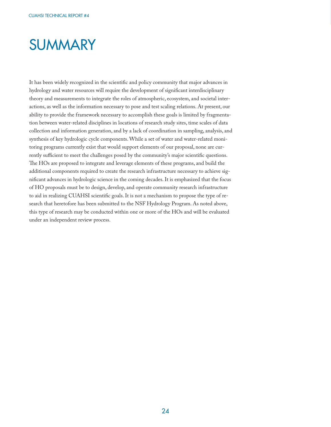### **SUMMARY**

It has been widely recognized in the scientific and policy community that major advances in hydrology and water resources will require the development of significant interdisciplinary theory and measurements to integrate the roles of atmospheric, ecosystem, and societal interactions, as well as the information necessary to pose and test scaling relations. At present, our ability to provide the framework necessary to accomplish these goals is limited by fragmentation between water-related disciplines in locations of research study sites, time scales of data collection and information generation, and by a lack of coordination in sampling, analysis, and synthesis of key hydrologic cycle components. While a set of water and water-related monitoring programs currently exist that would support elements of our proposal, none are currently sufficient to meet the challenges posed by the community's major scientific questions. The HOs are proposed to integrate and leverage elements of these programs, and build the additional components required to create the research infrastructure necessary to achieve significant advances in hydrologic science in the coming decades. It is emphasized that the focus of HO proposals must be to design, develop, and operate community research infrastructure to aid in realizing CUAHSI scientific goals. It is not a mechanism to propose the type of research that heretofore has been submitted to the NSF Hydrology Program. As noted above, this type of research may be conducted within one or more of the HOs and will be evaluated under an independent review process.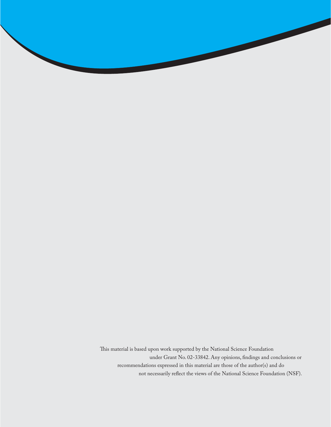This material is based upon work supported by the National Science Foundation under Grant No. 02-33842. Any opinions, findings and conclusions or recommendations expressed in this material are those of the author(s) and do not necessarily reflect the views of the National Science Foundation (NSF).